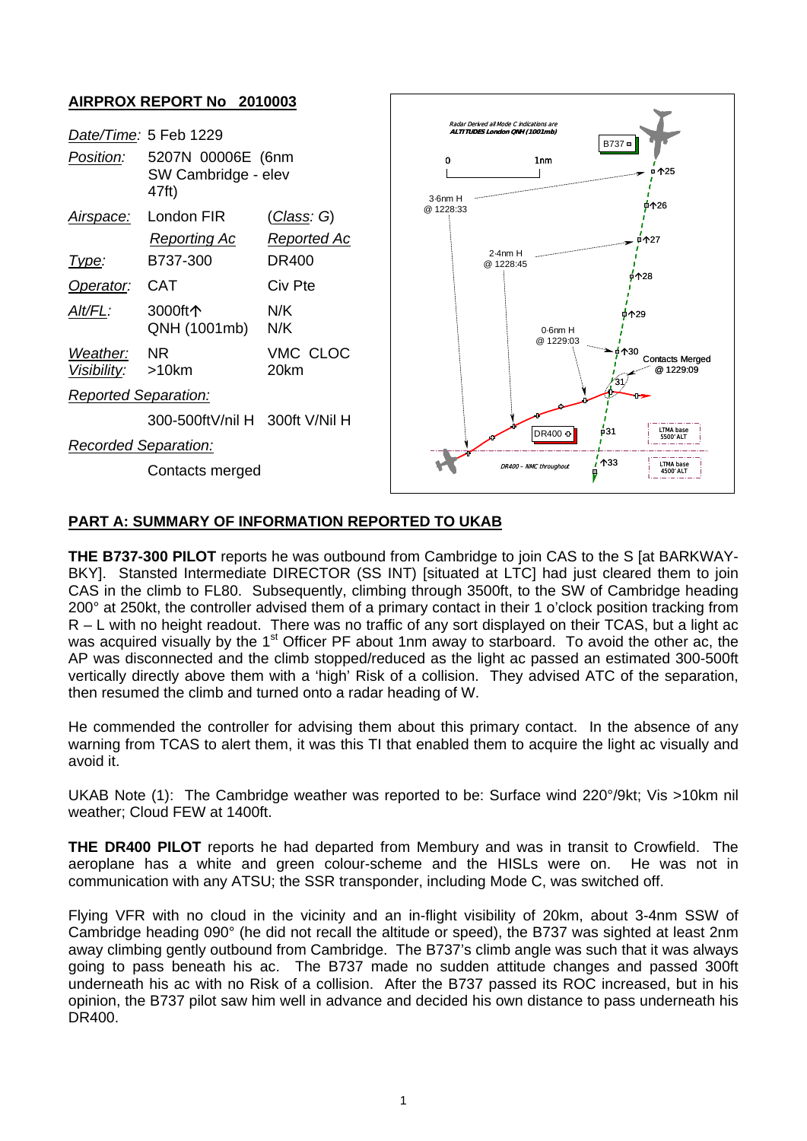

## **PART A: SUMMARY OF INFORMATION REPORTED TO UKAB**

**THE B737-300 PILOT** reports he was outbound from Cambridge to join CAS to the S [at BARKWAY-BKY]. Stansted Intermediate DIRECTOR (SS INT) [situated at LTC] had just cleared them to join CAS in the climb to FL80. Subsequently, climbing through 3500ft, to the SW of Cambridge heading 200° at 250kt, the controller advised them of a primary contact in their 1 o'clock position tracking from R – L with no height readout. There was no traffic of any sort displayed on their TCAS, but a light ac was acquired visually by the 1<sup>st</sup> Officer PF about 1nm away to starboard. To avoid the other ac, the AP was disconnected and the climb stopped/reduced as the light ac passed an estimated 300-500ft vertically directly above them with a 'high' Risk of a collision. They advised ATC of the separation, then resumed the climb and turned onto a radar heading of W.

He commended the controller for advising them about this primary contact. In the absence of any warning from TCAS to alert them, it was this TI that enabled them to acquire the light ac visually and avoid it.

UKAB Note (1): The Cambridge weather was reported to be: Surface wind 220°/9kt; Vis >10km nil weather; Cloud FEW at 1400ft.

**THE DR400 PILOT** reports he had departed from Membury and was in transit to Crowfield. The aeroplane has a white and green colour-scheme and the HISLs were on. He was not in communication with any ATSU; the SSR transponder, including Mode C, was switched off.

Flying VFR with no cloud in the vicinity and an in-flight visibility of 20km, about 3-4nm SSW of Cambridge heading 090° (he did not recall the altitude or speed), the B737 was sighted at least 2nm away climbing gently outbound from Cambridge. The B737's climb angle was such that it was always going to pass beneath his ac. The B737 made no sudden attitude changes and passed 300ft underneath his ac with no Risk of a collision. After the B737 passed its ROC increased, but in his opinion, the B737 pilot saw him well in advance and decided his own distance to pass underneath his DR400.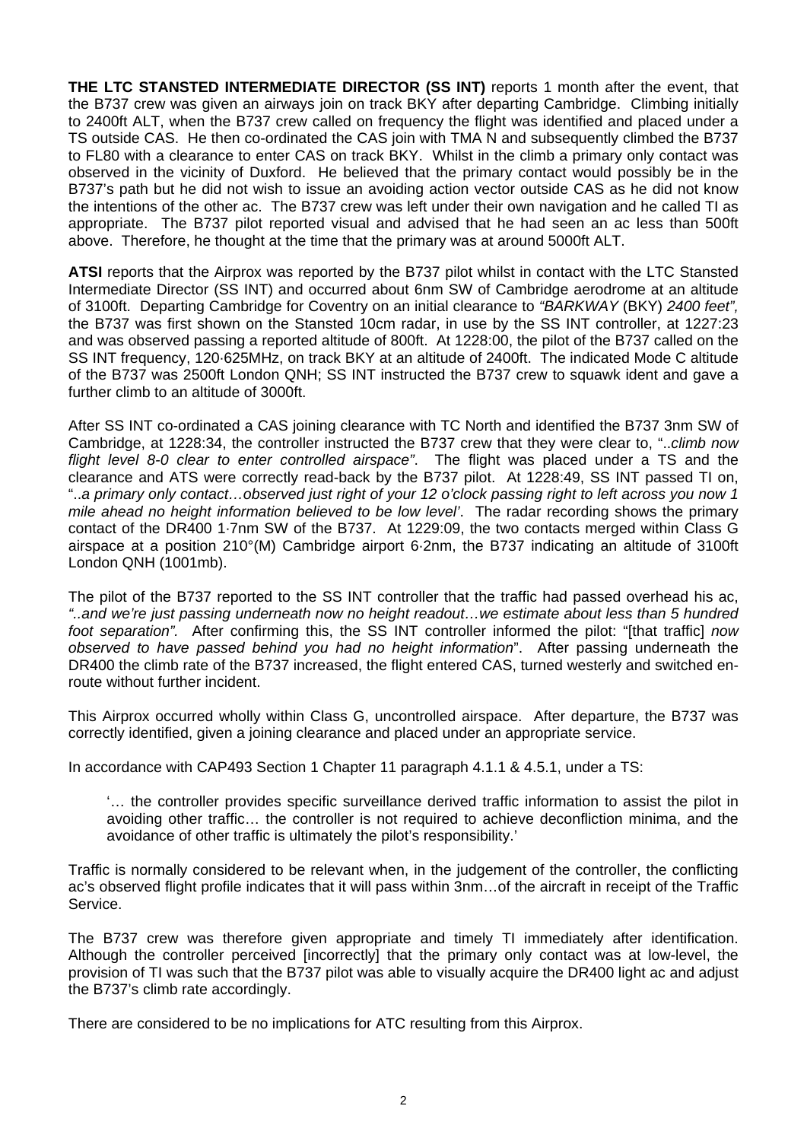**THE LTC STANSTED INTERMEDIATE DIRECTOR (SS INT)** reports 1 month after the event, that the B737 crew was given an airways join on track BKY after departing Cambridge. Climbing initially to 2400ft ALT, when the B737 crew called on frequency the flight was identified and placed under a TS outside CAS. He then co-ordinated the CAS join with TMA N and subsequently climbed the B737 to FL80 with a clearance to enter CAS on track BKY. Whilst in the climb a primary only contact was observed in the vicinity of Duxford. He believed that the primary contact would possibly be in the B737's path but he did not wish to issue an avoiding action vector outside CAS as he did not know the intentions of the other ac. The B737 crew was left under their own navigation and he called TI as appropriate. The B737 pilot reported visual and advised that he had seen an ac less than 500ft above. Therefore, he thought at the time that the primary was at around 5000ft ALT.

**ATSI** reports that the Airprox was reported by the B737 pilot whilst in contact with the LTC Stansted Intermediate Director (SS INT) and occurred about 6nm SW of Cambridge aerodrome at an altitude of 3100ft. Departing Cambridge for Coventry on an initial clearance to *"BARKWAY* (BKY) *2400 feet",*  the B737 was first shown on the Stansted 10cm radar, in use by the SS INT controller, at 1227:23 and was observed passing a reported altitude of 800ft. At 1228:00, the pilot of the B737 called on the SS INT frequency, 120·625MHz, on track BKY at an altitude of 2400ft. The indicated Mode C altitude of the B737 was 2500ft London QNH; SS INT instructed the B737 crew to squawk ident and gave a further climb to an altitude of 3000ft.

After SS INT co-ordinated a CAS joining clearance with TC North and identified the B737 3nm SW of Cambridge, at 1228:34, the controller instructed the B737 crew that they were clear to, "..*climb now flight level 8-0 clear to enter controlled airspace"*. The flight was placed under a TS and the clearance and ATS were correctly read-back by the B737 pilot. At 1228:49, SS INT passed TI on, "..*a primary only contact…observed just right of your 12 o'clock passing right to left across you now 1 mile ahead no height information believed to be low level'*. The radar recording shows the primary contact of the DR400 1·7nm SW of the B737. At 1229:09, the two contacts merged within Class G airspace at a position 210°(M) Cambridge airport 6·2nm, the B737 indicating an altitude of 3100ft London QNH (1001mb).

The pilot of the B737 reported to the SS INT controller that the traffic had passed overhead his ac, *"..and we're just passing underneath now no height readout…we estimate about less than 5 hundred foot separation".* After confirming this, the SS INT controller informed the pilot: "[that traffic] *now observed to have passed behind you had no height information*". After passing underneath the DR400 the climb rate of the B737 increased, the flight entered CAS, turned westerly and switched enroute without further incident.

This Airprox occurred wholly within Class G, uncontrolled airspace. After departure, the B737 was correctly identified, given a joining clearance and placed under an appropriate service.

In accordance with CAP493 Section 1 Chapter 11 paragraph 4.1.1 & 4.5.1, under a TS:

'… the controller provides specific surveillance derived traffic information to assist the pilot in avoiding other traffic… the controller is not required to achieve deconfliction minima, and the avoidance of other traffic is ultimately the pilot's responsibility.'

Traffic is normally considered to be relevant when, in the judgement of the controller, the conflicting ac's observed flight profile indicates that it will pass within 3nm…of the aircraft in receipt of the Traffic Service.

The B737 crew was therefore given appropriate and timely TI immediately after identification. Although the controller perceived [incorrectly] that the primary only contact was at low-level, the provision of TI was such that the B737 pilot was able to visually acquire the DR400 light ac and adjust the B737's climb rate accordingly.

There are considered to be no implications for ATC resulting from this Airprox.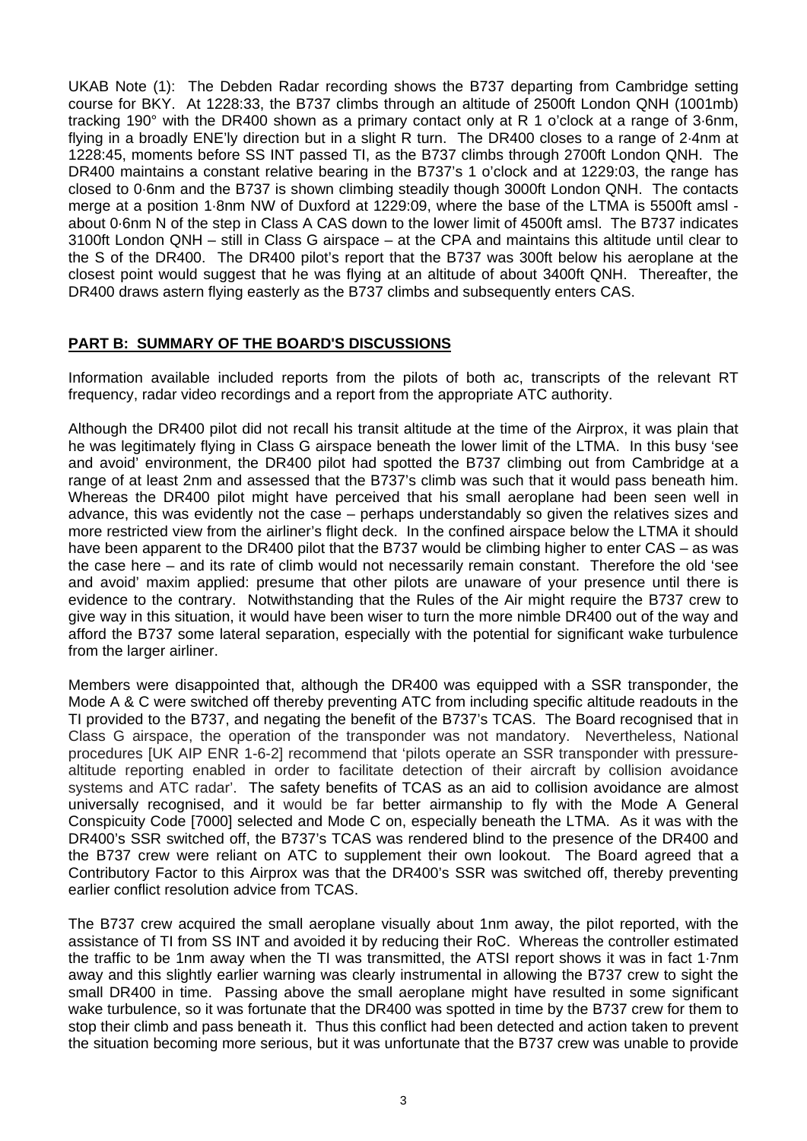UKAB Note (1): The Debden Radar recording shows the B737 departing from Cambridge setting course for BKY. At 1228:33, the B737 climbs through an altitude of 2500ft London QNH (1001mb) tracking 190° with the DR400 shown as a primary contact only at R 1 o'clock at a range of 3·6nm, flying in a broadly ENE'ly direction but in a slight R turn. The DR400 closes to a range of 2·4nm at 1228:45, moments before SS INT passed TI, as the B737 climbs through 2700ft London QNH. The DR400 maintains a constant relative bearing in the B737's 1 o'clock and at 1229:03, the range has closed to 0·6nm and the B737 is shown climbing steadily though 3000ft London QNH. The contacts merge at a position 1·8nm NW of Duxford at 1229:09, where the base of the LTMA is 5500ft amsl about 0·6nm N of the step in Class A CAS down to the lower limit of 4500ft amsl. The B737 indicates 3100ft London QNH – still in Class G airspace – at the CPA and maintains this altitude until clear to the S of the DR400. The DR400 pilot's report that the B737 was 300ft below his aeroplane at the closest point would suggest that he was flying at an altitude of about 3400ft QNH. Thereafter, the DR400 draws astern flying easterly as the B737 climbs and subsequently enters CAS.

## **PART B: SUMMARY OF THE BOARD'S DISCUSSIONS**

Information available included reports from the pilots of both ac, transcripts of the relevant RT frequency, radar video recordings and a report from the appropriate ATC authority.

Although the DR400 pilot did not recall his transit altitude at the time of the Airprox, it was plain that he was legitimately flying in Class G airspace beneath the lower limit of the LTMA. In this busy 'see and avoid' environment, the DR400 pilot had spotted the B737 climbing out from Cambridge at a range of at least 2nm and assessed that the B737's climb was such that it would pass beneath him. Whereas the DR400 pilot might have perceived that his small aeroplane had been seen well in advance, this was evidently not the case – perhaps understandably so given the relatives sizes and more restricted view from the airliner's flight deck. In the confined airspace below the LTMA it should have been apparent to the DR400 pilot that the B737 would be climbing higher to enter CAS – as was the case here – and its rate of climb would not necessarily remain constant. Therefore the old 'see and avoid' maxim applied: presume that other pilots are unaware of your presence until there is evidence to the contrary. Notwithstanding that the Rules of the Air might require the B737 crew to give way in this situation, it would have been wiser to turn the more nimble DR400 out of the way and afford the B737 some lateral separation, especially with the potential for significant wake turbulence from the larger airliner.

Members were disappointed that, although the DR400 was equipped with a SSR transponder, the Mode A & C were switched off thereby preventing ATC from including specific altitude readouts in the TI provided to the B737, and negating the benefit of the B737's TCAS. The Board recognised that in Class G airspace, the operation of the transponder was not mandatory. Nevertheless, National procedures [UK AIP ENR 1-6-2] recommend that 'pilots operate an SSR transponder with pressurealtitude reporting enabled in order to facilitate detection of their aircraft by collision avoidance systems and ATC radar'. The safety benefits of TCAS as an aid to collision avoidance are almost universally recognised, and it would be far better airmanship to fly with the Mode A General Conspicuity Code [7000] selected and Mode C on, especially beneath the LTMA. As it was with the DR400's SSR switched off, the B737's TCAS was rendered blind to the presence of the DR400 and the B737 crew were reliant on ATC to supplement their own lookout. The Board agreed that a Contributory Factor to this Airprox was that the DR400's SSR was switched off, thereby preventing earlier conflict resolution advice from TCAS.

The B737 crew acquired the small aeroplane visually about 1nm away, the pilot reported, with the assistance of TI from SS INT and avoided it by reducing their RoC. Whereas the controller estimated the traffic to be 1nm away when the TI was transmitted, the ATSI report shows it was in fact 1·7nm away and this slightly earlier warning was clearly instrumental in allowing the B737 crew to sight the small DR400 in time. Passing above the small aeroplane might have resulted in some significant wake turbulence, so it was fortunate that the DR400 was spotted in time by the B737 crew for them to stop their climb and pass beneath it. Thus this conflict had been detected and action taken to prevent the situation becoming more serious, but it was unfortunate that the B737 crew was unable to provide